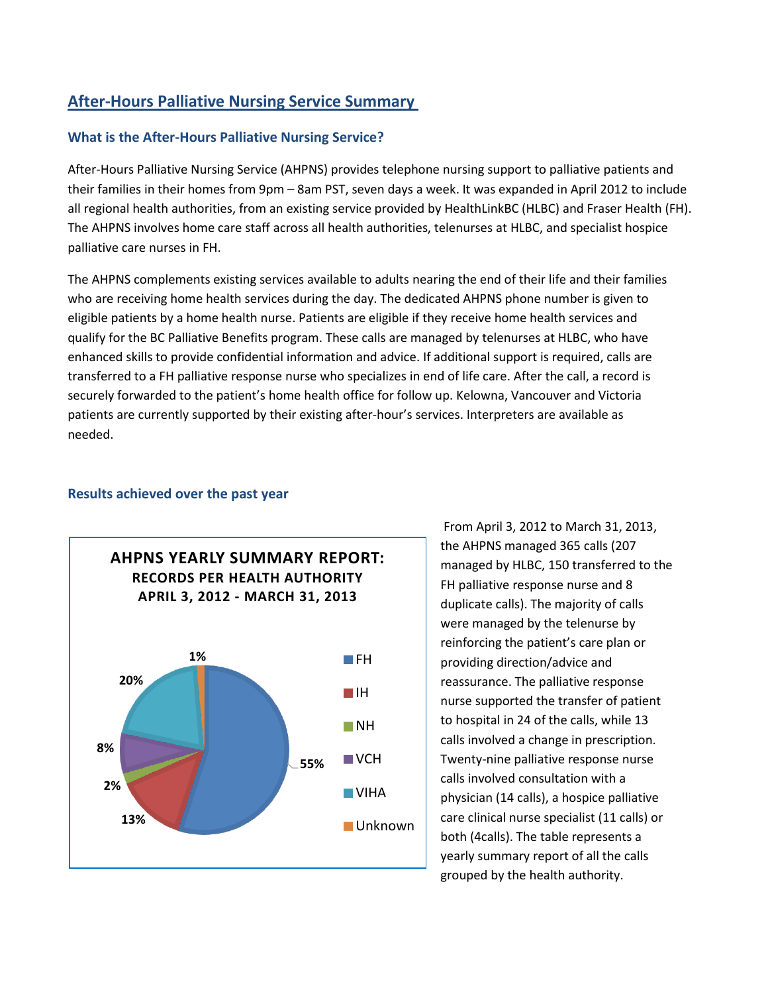# **After-Hours Palliative Nursing Service Summary**

## **What is the After-Hours Palliative Nursing Service?**

After-Hours Palliative Nursing Service (AHPNS) provides telephone nursing support to palliative patients and their families in their homes from 9pm – 8am PST, seven days a week. It was expanded in April 2012 to include all regional health authorities, from an existing service provided by HealthLinkBC (HLBC) and Fraser Health (FH). The AHPNS involves home care staff across all health authorities, telenurses at HLBC, and specialist hospice palliative care nurses in FH.

The AHPNS complements existing services available to adults nearing the end of their life and their families who are receiving home health services during the day. The dedicated AHPNS phone number is given to eligible patients by a home health nurse. Patients are eligible if they receive home health services and qualify for the BC Palliative Benefits program. These calls are managed by telenurses at HLBC, who have enhanced skills to provide confidential information and advice. If additional support is required, calls are transferred to a FH palliative response nurse who specializes in end of life care. After the call, a record is securely forwarded to the patient's home health office for follow up. Kelowna, Vancouver and Victoria patients are currently supported by their existing after-hour's services. Interpreters are available as needed.



#### **Results achieved over the past year**

From April 3, 2012 to March 31, 2013, the AHPNS managed 365 calls (207 managed by HLBC, 150 transferred to the FH palliative response nurse and 8 duplicate calls). The majority of calls were managed by the telenurse by reinforcing the patient's care plan or providing direction/advice and reassurance. The palliative response nurse supported the transfer of patient to hospital in 24 of the calls, while 13 calls involved a change in prescription. Twenty-nine palliative response nurse calls involved consultation with a physician (14 calls), a hospice palliative care clinical nurse specialist (11 calls) or both (4calls). The table represents a yearly summary report of all the calls grouped by the health authority.